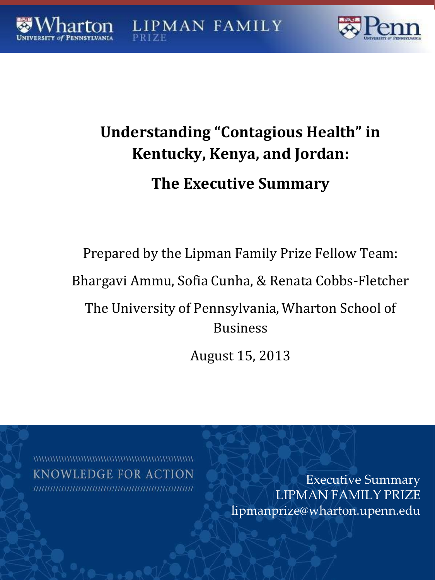**LIPMAN FAMILY**  $17F$ 



# **Understanding "Contagious Health" in Kentucky, Kenya, and Jordan: The Executive Summary**

Prepared by the Lipman Family Prize Fellow Team:

Bhargavi Ammu, Sofia Cunha, & Renata Cobbs-Fletcher

The University of Pennsylvania, Wharton School of Business

August 15, 2013

**KNOWLEDGE FOR ACTION** 

Executive Summary LIPMAN FAMILY PRIZ[E](mailto:lipmanprize@wharton.upenn.edu) [lipmanprize@wharton.upenn.edu](mailto:lipmanprize@wharton.upenn.edu)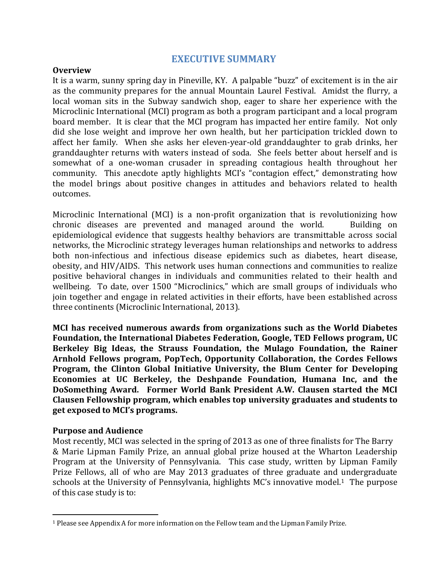### **EXECUTIVE SUMMARY**

#### **Overview**

It is a warm, sunny spring day in Pineville, KY. A palpable "buzz" of excitement is in the air as the community prepares for the annual Mountain Laurel Festival. Amidst the flurry, a local woman sits in the Subway sandwich shop, eager to share her experience with the Microclinic International (MCI) program as both a program participant and a local program board member. It is clear that the MCI program has impacted her entire family. Not only did she lose weight and improve her own health, but her participation trickled down to affect her family. When she asks her eleven-year-old granddaughter to grab drinks, her granddaughter returns with waters instead of soda. She feels better about herself and is somewhat of a one-woman crusader in spreading contagious health throughout her community. This anecdote aptly highlights MCI's "contagion effect," demonstrating how the model brings about positive changes in attitudes and behaviors related to health outcomes.

Microclinic International (MCI) is a non-profit organization that is revolutionizing how chronic diseases are prevented and managed around the world. Building on epidemiological evidence that suggests healthy behaviors are transmittable across social networks, the Microclinic strategy leverages human relationships and networks to address both non-infectious and infectious disease epidemics such as diabetes, heart disease, obesity, and HIV/AIDS. This network uses human connections and communities to realize positive behavioral changes in individuals and communities related to their health and wellbeing. To date, over 1500 "Microclinics," which are small groups of individuals who join together and engage in related activities in their efforts, have been established across three continents (Microclinic International, 2013).

**MCI has received numerous awards from organizations such as the World Diabetes Foundation, the International Diabetes Federation, Google, TED Fellows program, UC Berkeley Big Ideas, the Strauss Foundation, the Mulago Foundation, the Rainer Arnhold Fellows program, PopTech, Opportunity Collaboration, the Cordes Fellows Program, the Clinton Global Initiative University, the Blum Center for Developing Economies at UC Berkeley, the Deshpande Foundation, Humana Inc, and the DoSomething Award. Former World Bank President A.W. Clausen started the MCI Clausen Fellowship program, which enables top university graduates and students to get exposed to MCI's programs.**

#### **Purpose and Audience**

Most recently, MCI was selected in the spring of 2013 as one of three finalists for The Barry & Marie Lipman Family Prize, an annual global prize housed at the Wharton Leadership Program at the University of Pennsylvania. This case study, written by Lipman Family Prize Fellows, all of who are May 2013 graduates of three graduate and undergraduate schools at the University of Pennsylvania, highlights MC's innovative model.<sup>1</sup> The purpose of this case study is to:

<sup>1</sup> Please see Appendix A for more information on the Fellow team and the Lipman Family Prize.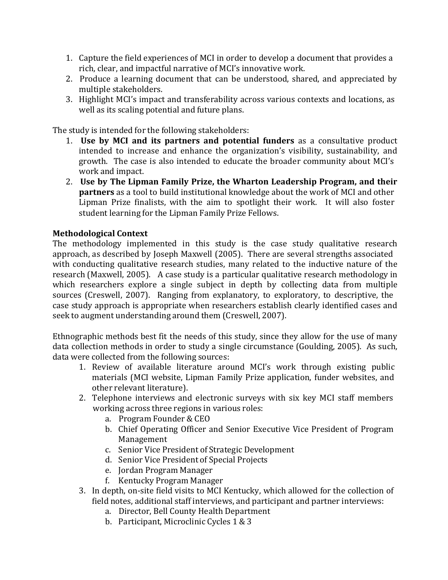- 1. Capture the field experiences of MCI in order to develop a document that provides a rich, clear, and impactful narrative of MCI's innovative work.
- 2. Produce a learning document that can be understood, shared, and appreciated by multiple stakeholders.
- 3. Highlight MCI's impact and transferability across various contexts and locations, as well as its scaling potential and future plans.

The study is intended for the following stakeholders:

- 1. **Use by MCI and its partners and potential funders** as a consultative product intended to increase and enhance the organization's visibility, sustainability, and growth. The case is also intended to educate the broader community about MCI's work and impact.
- 2. **Use by The Lipman Family Prize, the Wharton Leadership Program, and their partners** as a tool to build institutional knowledge about the work of MCI and other Lipman Prize finalists, with the aim to spotlight their work. It will also foster student learning for the Lipman Family Prize Fellows.

# **Methodological Context**

The methodology implemented in this study is the case study qualitative research approach, as described by Joseph Maxwell (2005). There are several strengths associated with conducting qualitative research studies, many related to the inductive nature of the research (Maxwell, 2005). A case study is a particular qualitative research methodology in which researchers explore a single subject in depth by collecting data from multiple sources (Creswell, 2007). Ranging from explanatory, to exploratory, to descriptive, the case study approach is appropriate when researchers establish clearly identified cases and seek to augment understanding around them (Creswell, 2007).

Ethnographic methods best fit the needs of this study, since they allow for the use of many data collection methods in order to study a single circumstance (Goulding, 2005). As such, data were collected from the following sources:

- 1. Review of available literature around MCI's work through existing public materials (MCI website, Lipman Family Prize application, funder websites, and other relevant literature).
- 2. Telephone interviews and electronic surveys with six key MCI staff members working across three regions in various roles:
	- a. Program Founder & CEO
	- b. Chief Operating Officer and Senior Executive Vice President of Program Management
	- c. Senior Vice President of Strategic Development
	- d. Senior Vice President of Special Projects
	- e. Jordan Program Manager
	- f. Kentucky Program Manager
- 3. In depth, on-site field visits to MCI Kentucky, which allowed for the collection of field notes, additional staff interviews, and participant and partner interviews:
	- a. Director, Bell County Health Department
	- b. Participant, Microclinic Cycles 1 & 3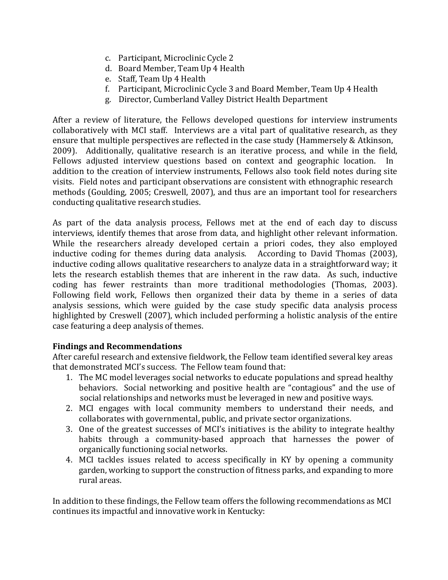- c. Participant, Microclinic Cycle 2
- d. Board Member, Team Up 4 Health
- e. Staff, Team Up 4 Health
- f. Participant, Microclinic Cycle 3 and Board Member, Team Up 4 Health
- g. Director, Cumberland Valley District Health Department

After a review of literature, the Fellows developed questions for interview instruments collaboratively with MCI staff. Interviews are a vital part of qualitative research, as they ensure that multiple perspectives are reflected in the case study (Hammersely & Atkinson, 2009). Additionally, qualitative research is an iterative process, and while in the field, Fellows adjusted interview questions based on context and geographic location. In addition to the creation of interview instruments, Fellows also took field notes during site visits. Field notes and participant observations are consistent with ethnographic research methods (Goulding, 2005; Creswell, 2007), and thus are an important tool for researchers conducting qualitative research studies.

As part of the data analysis process, Fellows met at the end of each day to discuss interviews, identify themes that arose from data, and highlight other relevant information. While the researchers already developed certain a priori codes, they also employed inductive coding for themes during data analysis. According to David Thomas (2003), inductive coding allows qualitative researchers to analyze data in a straightforward way; it lets the research establish themes that are inherent in the raw data. As such, inductive coding has fewer restraints than more traditional methodologies (Thomas, 2003). Following field work, Fellows then organized their data by theme in a series of data analysis sessions, which were guided by the case study specific data analysis process highlighted by Creswell (2007), which included performing a holistic analysis of the entire case featuring a deep analysis of themes.

# **Findings and Recommendations**

After careful research and extensive fieldwork, the Fellow team identified several key areas that demonstrated MCI's success. The Fellow team found that:

- 1. The MC model leverages social networks to educate populations and spread healthy behaviors. Social networking and positive health are "contagious" and the use of social relationships and networks must be leveraged in new and positive ways.
- 2. MCI engages with local community members to understand their needs, and collaborates with governmental, public, and private sector organizations.
- 3. One of the greatest successes of MCI's initiatives is the ability to integrate healthy habits through a community-based approach that harnesses the power of organically functioning social networks.
- 4. MCI tackles issues related to access specifically in KY by opening a community garden, working to support the construction of fitness parks, and expanding to more rural areas.

In addition to these findings, the Fellow team offers the following recommendations as MCI continues its impactful and innovative work in Kentucky: